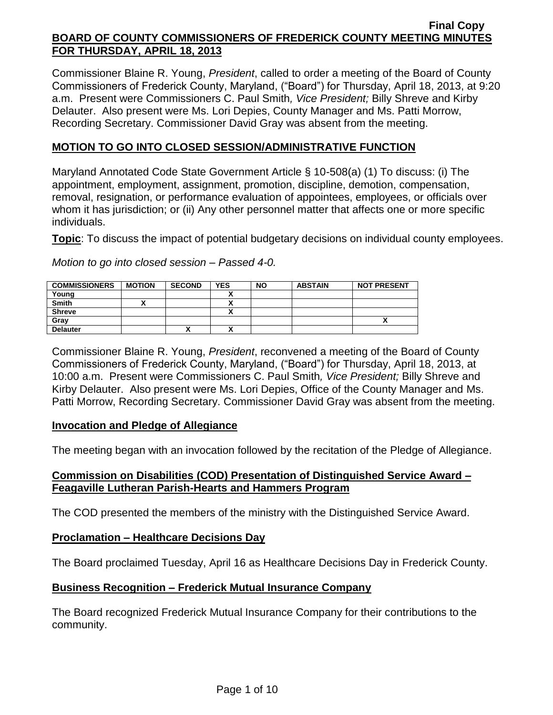Commissioner Blaine R. Young, *President*, called to order a meeting of the Board of County Commissioners of Frederick County, Maryland, ("Board") for Thursday, April 18, 2013, at 9:20 a.m. Present were Commissioners C. Paul Smith*, Vice President;* Billy Shreve and Kirby Delauter. Also present were Ms. Lori Depies, County Manager and Ms. Patti Morrow, Recording Secretary. Commissioner David Gray was absent from the meeting.

## **MOTION TO GO INTO CLOSED SESSION/ADMINISTRATIVE FUNCTION**

Maryland Annotated Code State Government Article § 10-508(a) (1) To discuss: (i) The appointment, employment, assignment, promotion, discipline, demotion, compensation, removal, resignation, or performance evaluation of appointees, employees, or officials over whom it has jurisdiction; or (ii) Any other personnel matter that affects one or more specific individuals.

**Topic**: To discuss the impact of potential budgetary decisions on individual county employees.

*Motion to go into closed session – Passed 4-0.*

| <b>COMMISSIONERS</b> | <b>MOTION</b> | <b>SECOND</b> | <b>YES</b> | <b>NO</b> | <b>ABSTAIN</b> | <b>NOT PRESENT</b> |
|----------------------|---------------|---------------|------------|-----------|----------------|--------------------|
| Young                |               |               |            |           |                |                    |
| <b>Smith</b>         |               |               |            |           |                |                    |
| <b>Shreve</b>        |               |               |            |           |                |                    |
| Gray                 |               |               |            |           |                |                    |
| <b>Delauter</b>      |               |               |            |           |                |                    |

Commissioner Blaine R. Young, *President*, reconvened a meeting of the Board of County Commissioners of Frederick County, Maryland, ("Board") for Thursday, April 18, 2013, at 10:00 a.m. Present were Commissioners C. Paul Smith*, Vice President;* Billy Shreve and Kirby Delauter. Also present were Ms. Lori Depies, Office of the County Manager and Ms. Patti Morrow, Recording Secretary. Commissioner David Gray was absent from the meeting.

### **Invocation and Pledge of Allegiance**

The meeting began with an invocation followed by the recitation of the Pledge of Allegiance.

### **Commission on Disabilities (COD) Presentation of Distinguished Service Award – Feagaville Lutheran Parish-Hearts and Hammers Program**

The COD presented the members of the ministry with the Distinguished Service Award.

### **Proclamation – Healthcare Decisions Day**

The Board proclaimed Tuesday, April 16 as Healthcare Decisions Day in Frederick County.

### **Business Recognition – Frederick Mutual Insurance Company**

The Board recognized Frederick Mutual Insurance Company for their contributions to the community.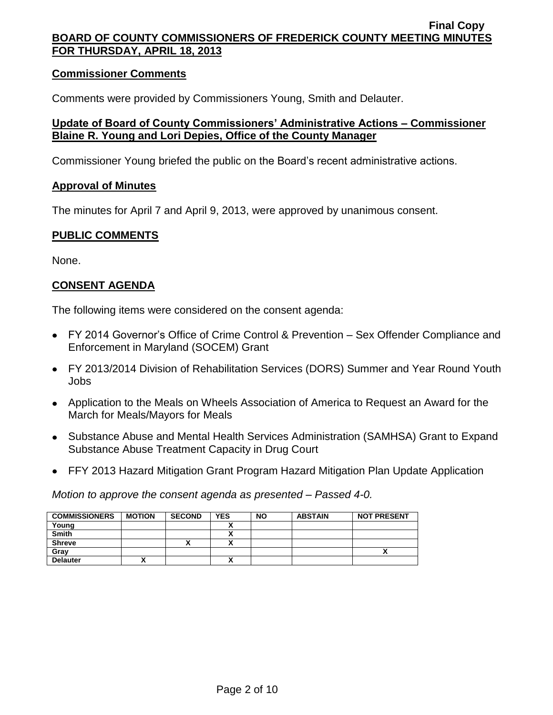#### **Commissioner Comments**

Comments were provided by Commissioners Young, Smith and Delauter.

### **Update of Board of County Commissioners' Administrative Actions – Commissioner Blaine R. Young and Lori Depies, Office of the County Manager**

Commissioner Young briefed the public on the Board's recent administrative actions.

#### **Approval of Minutes**

The minutes for April 7 and April 9, 2013, were approved by unanimous consent.

### **PUBLIC COMMENTS**

None.

# **CONSENT AGENDA**

The following items were considered on the consent agenda:

- FY 2014 Governor's Office of Crime Control & Prevention Sex Offender Compliance and Enforcement in Maryland (SOCEM) Grant
- FY 2013/2014 Division of Rehabilitation Services (DORS) Summer and Year Round Youth Jobs
- Application to the Meals on Wheels Association of America to Request an Award for the March for Meals/Mayors for Meals
- Substance Abuse and Mental Health Services Administration (SAMHSA) Grant to Expand Substance Abuse Treatment Capacity in Drug Court
- FFY 2013 Hazard Mitigation Grant Program Hazard Mitigation Plan Update Application

*Motion to approve the consent agenda as presented – Passed 4-0.*

| <b>COMMISSIONERS</b> | <b>MOTION</b> | <b>SECOND</b> | <b>YES</b> | <b>NO</b> | <b>ABSTAIN</b> | <b>NOT PRESENT</b> |
|----------------------|---------------|---------------|------------|-----------|----------------|--------------------|
| Young                |               |               |            |           |                |                    |
| <b>Smith</b>         |               |               |            |           |                |                    |
| <b>Shreve</b>        |               | "             |            |           |                |                    |
| Gray                 |               |               |            |           |                |                    |
| <b>Delauter</b>      | ,,            |               |            |           |                |                    |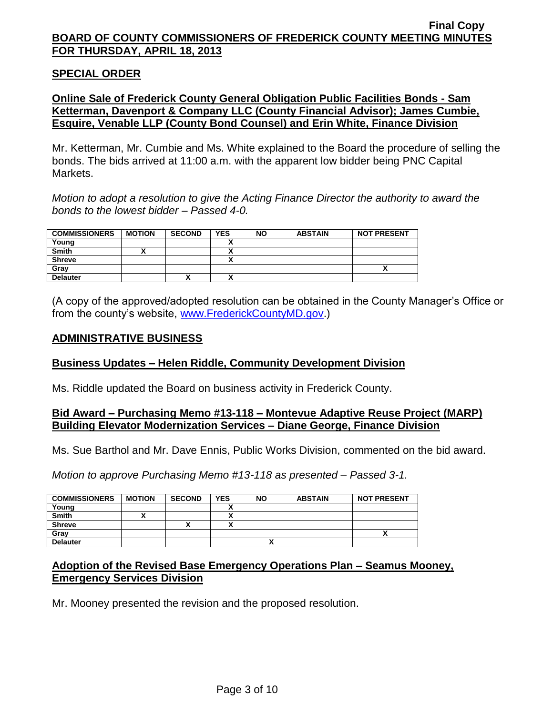#### **SPECIAL ORDER**

## **Online Sale of Frederick County General Obligation Public Facilities Bonds - Sam Ketterman, Davenport & Company LLC (County Financial Advisor); James Cumbie, Esquire, Venable LLP (County Bond Counsel) and Erin White, Finance Division**

Mr. Ketterman, Mr. Cumbie and Ms. White explained to the Board the procedure of selling the bonds. The bids arrived at 11:00 a.m. with the apparent low bidder being PNC Capital Markets.

*Motion to adopt a resolution to give the Acting Finance Director the authority to award the bonds to the lowest bidder – Passed 4-0.*

| <b>COMMISSIONERS</b> | <b>MOTION</b> | <b>SECOND</b> | <b>YES</b> | <b>NO</b> | <b>ABSTAIN</b> | <b>NOT PRESENT</b> |
|----------------------|---------------|---------------|------------|-----------|----------------|--------------------|
| Young                |               |               |            |           |                |                    |
| <b>Smith</b>         |               |               |            |           |                |                    |
| <b>Shreve</b>        |               |               | ~          |           |                |                    |
| Grav                 |               |               |            |           |                |                    |
| <b>Delauter</b>      |               | '             |            |           |                |                    |

(A copy of the approved/adopted resolution can be obtained in the County Manager's Office or from the county's website, [www.FrederickCountyMD.gov.](http://www.frederickcountymd.gov/))

#### **ADMINISTRATIVE BUSINESS**

#### **Business Updates – Helen Riddle, Community Development Division**

Ms. Riddle updated the Board on business activity in Frederick County.

#### **Bid Award – Purchasing Memo #13-118 – Montevue Adaptive Reuse Project (MARP) Building Elevator Modernization Services – Diane George, Finance Division**

Ms. Sue Barthol and Mr. Dave Ennis, Public Works Division, commented on the bid award.

*Motion to approve Purchasing Memo #13-118 as presented – Passed 3-1.*

| <b>COMMISSIONERS</b> | <b>MOTION</b> | <b>SECOND</b> | <b>YES</b>               | <b>NO</b> | <b>ABSTAIN</b> | <b>NOT PRESENT</b> |
|----------------------|---------------|---------------|--------------------------|-----------|----------------|--------------------|
| Young                |               |               |                          |           |                |                    |
| <b>Smith</b>         |               |               |                          |           |                |                    |
| <b>Shreve</b>        |               |               | $\overline{\phantom{a}}$ |           |                |                    |
| Gray                 |               |               |                          |           |                | ~                  |
| <b>Delauter</b>      |               |               |                          |           |                |                    |

#### **Adoption of the Revised Base Emergency Operations Plan – Seamus Mooney, Emergency Services Division**

Mr. Mooney presented the revision and the proposed resolution.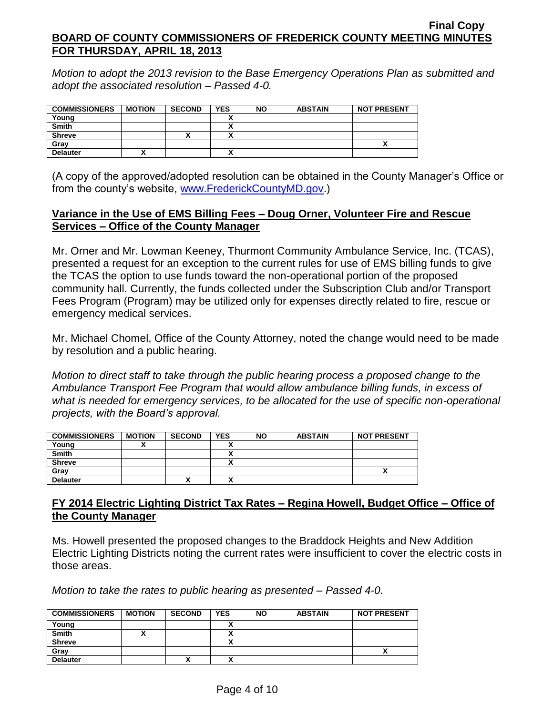*Motion to adopt the 2013 revision to the Base Emergency Operations Plan as submitted and adopt the associated resolution – Passed 4-0.*

| <b>COMMISSIONERS</b> | <b>MOTION</b> | <b>SECOND</b> | <b>YES</b> | <b>NO</b> | <b>ABSTAIN</b> | <b>NOT PRESENT</b> |
|----------------------|---------------|---------------|------------|-----------|----------------|--------------------|
| Young                |               |               |            |           |                |                    |
| <b>Smith</b>         |               |               | ~          |           |                |                    |
| <b>Shreve</b>        |               |               | n          |           |                |                    |
| Gray                 |               |               |            |           |                |                    |
| <b>Delauter</b>      |               |               |            |           |                |                    |

(A copy of the approved/adopted resolution can be obtained in the County Manager's Office or from the county's website, [www.FrederickCountyMD.gov.](http://www.frederickcountymd.gov/))

## **Variance in the Use of EMS Billing Fees – Doug Orner, Volunteer Fire and Rescue Services – Office of the County Manager**

Mr. Orner and Mr. Lowman Keeney, Thurmont Community Ambulance Service, Inc. (TCAS), presented a request for an exception to the current rules for use of EMS billing funds to give the TCAS the option to use funds toward the non-operational portion of the proposed community hall. Currently, the funds collected under the Subscription Club and/or Transport Fees Program (Program) may be utilized only for expenses directly related to fire, rescue or emergency medical services.

Mr. Michael Chomel, Office of the County Attorney, noted the change would need to be made by resolution and a public hearing.

*Motion to direct staff to take through the public hearing process a proposed change to the Ambulance Transport Fee Program that would allow ambulance billing funds, in excess of what is needed for emergency services, to be allocated for the use of specific non-operational projects, with the Board's approval.*

| <b>COMMISSIONERS</b> | <b>MOTION</b> | <b>SECOND</b> | <b>YES</b> | <b>NO</b> | <b>ABSTAIN</b> | <b>NOT PRESENT</b> |
|----------------------|---------------|---------------|------------|-----------|----------------|--------------------|
| Young                |               |               |            |           |                |                    |
| <b>Smith</b>         |               |               |            |           |                |                    |
| <b>Shreve</b>        |               |               |            |           |                |                    |
| Gray                 |               |               |            |           |                | ~                  |
| <b>Delauter</b>      |               | ́             | ~          |           |                |                    |

# **FY 2014 Electric Lighting District Tax Rates – Regina Howell, Budget Office – Office of the County Manager**

Ms. Howell presented the proposed changes to the Braddock Heights and New Addition Electric Lighting Districts noting the current rates were insufficient to cover the electric costs in those areas.

*Motion to take the rates to public hearing as presented – Passed 4-0.*

| <b>COMMISSIONERS</b> | <b>MOTION</b> | <b>SECOND</b> | <b>YES</b> | <b>NO</b> | <b>ABSTAIN</b> | <b>NOT PRESENT</b> |
|----------------------|---------------|---------------|------------|-----------|----------------|--------------------|
| Young                |               |               |            |           |                |                    |
| <b>Smith</b>         |               |               |            |           |                |                    |
| <b>Shreve</b>        |               |               |            |           |                |                    |
| Gray                 |               |               |            |           |                |                    |
| <b>Delauter</b>      |               |               |            |           |                |                    |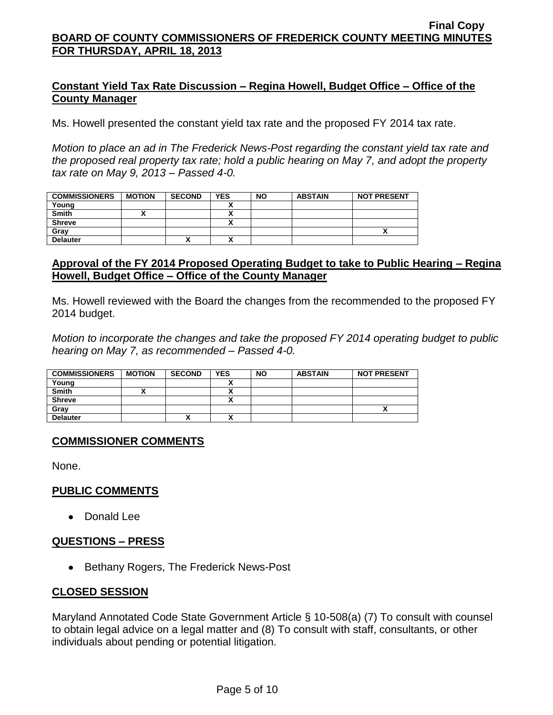## **Constant Yield Tax Rate Discussion – Regina Howell, Budget Office – Office of the County Manager**

Ms. Howell presented the constant yield tax rate and the proposed FY 2014 tax rate.

*Motion to place an ad in The Frederick News-Post regarding the constant yield tax rate and the proposed real property tax rate; hold a public hearing on May 7, and adopt the property tax rate on May 9, 2013 – Passed 4-0.*

| <b>COMMISSIONERS</b> | <b>MOTION</b> | <b>SECOND</b> | <b>YES</b> | <b>NO</b> | <b>ABSTAIN</b> | <b>NOT PRESENT</b> |
|----------------------|---------------|---------------|------------|-----------|----------------|--------------------|
| Young                |               |               |            |           |                |                    |
| <b>Smith</b>         |               |               |            |           |                |                    |
| <b>Shreve</b>        |               |               | ,,         |           |                |                    |
| Grav                 |               |               |            |           |                |                    |
| <b>Delauter</b>      |               | '             | ~          |           |                |                    |

### **Approval of the FY 2014 Proposed Operating Budget to take to Public Hearing – Regina Howell, Budget Office – Office of the County Manager**

Ms. Howell reviewed with the Board the changes from the recommended to the proposed FY 2014 budget.

*Motion to incorporate the changes and take the proposed FY 2014 operating budget to public hearing on May 7, as recommended – Passed 4-0.*

| <b>COMMISSIONERS</b> | <b>MOTION</b> | <b>SECOND</b> | <b>YES</b> | <b>NO</b> | <b>ABSTAIN</b> | <b>NOT PRESENT</b> |
|----------------------|---------------|---------------|------------|-----------|----------------|--------------------|
| Young                |               |               |            |           |                |                    |
| <b>Smith</b>         |               |               |            |           |                |                    |
| <b>Shreve</b>        |               |               |            |           |                |                    |
| Gray                 |               |               |            |           |                |                    |
| <b>Delauter</b>      |               |               |            |           |                |                    |

### **COMMISSIONER COMMENTS**

None.

### **PUBLIC COMMENTS**

• Donald Lee

### **QUESTIONS – PRESS**

• Bethany Rogers, The Frederick News-Post

### **CLOSED SESSION**

Maryland Annotated Code State Government Article § 10-508(a) (7) To consult with counsel to obtain legal advice on a legal matter and (8) To consult with staff, consultants, or other individuals about pending or potential litigation.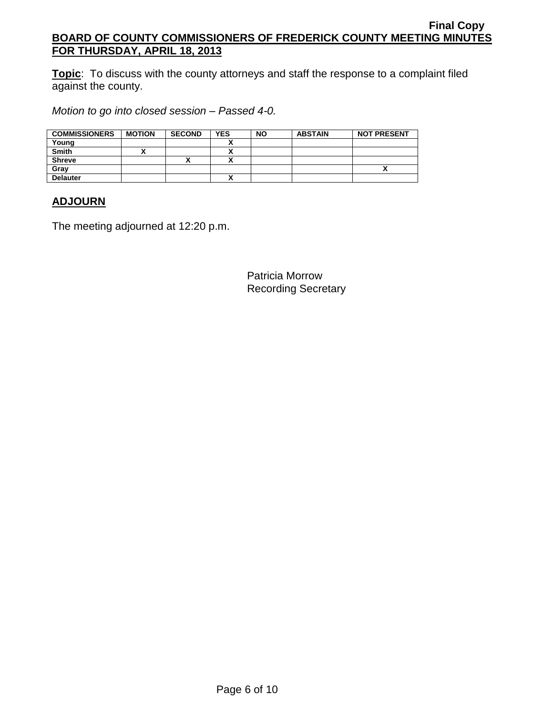**Topic**: To discuss with the county attorneys and staff the response to a complaint filed against the county.

*Motion to go into closed session – Passed 4-0.*

| <b>COMMISSIONERS</b> | <b>MOTION</b> | <b>SECOND</b> | <b>YES</b> | <b>NO</b> | <b>ABSTAIN</b> | <b>NOT PRESENT</b> |
|----------------------|---------------|---------------|------------|-----------|----------------|--------------------|
| Young                |               |               |            |           |                |                    |
| <b>Smith</b>         |               |               |            |           |                |                    |
| <b>Shreve</b>        |               |               |            |           |                |                    |
| Gray                 |               |               |            |           |                |                    |
| <b>Delauter</b>      |               |               |            |           |                |                    |

# **ADJOURN**

The meeting adjourned at 12:20 p.m.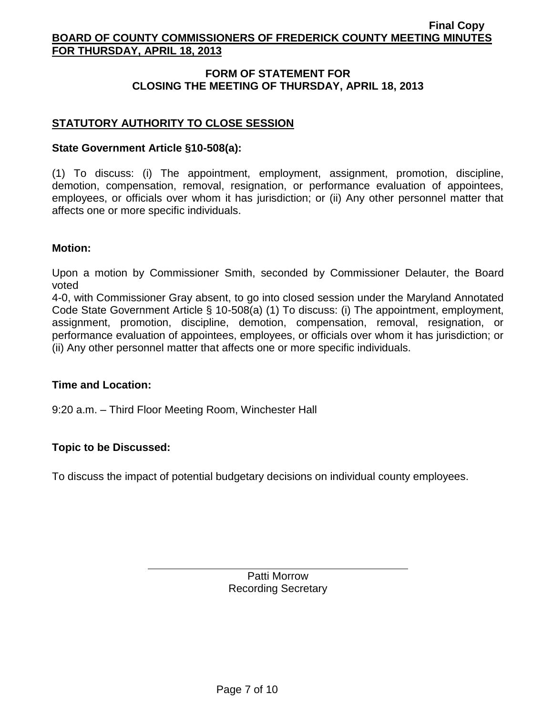# **FORM OF STATEMENT FOR CLOSING THE MEETING OF THURSDAY, APRIL 18, 2013**

# **STATUTORY AUTHORITY TO CLOSE SESSION**

#### **State Government Article §10-508(a):**

(1) To discuss: (i) The appointment, employment, assignment, promotion, discipline, demotion, compensation, removal, resignation, or performance evaluation of appointees, employees, or officials over whom it has jurisdiction; or (ii) Any other personnel matter that affects one or more specific individuals.

#### **Motion:**

Upon a motion by Commissioner Smith, seconded by Commissioner Delauter, the Board voted

4-0, with Commissioner Gray absent, to go into closed session under the Maryland Annotated Code State Government Article § 10-508(a) (1) To discuss: (i) The appointment, employment, assignment, promotion, discipline, demotion, compensation, removal, resignation, or performance evaluation of appointees, employees, or officials over whom it has jurisdiction; or (ii) Any other personnel matter that affects one or more specific individuals.

#### **Time and Location:**

9:20 a.m. – Third Floor Meeting Room, Winchester Hall

### **Topic to be Discussed:**

To discuss the impact of potential budgetary decisions on individual county employees.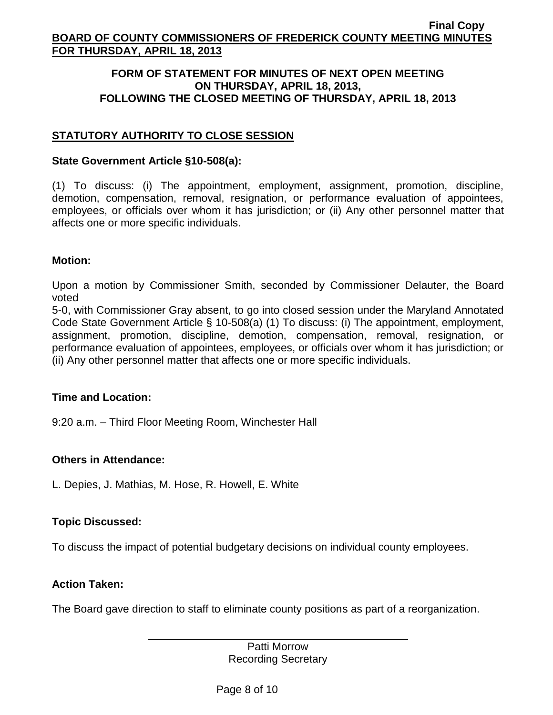#### **FORM OF STATEMENT FOR MINUTES OF NEXT OPEN MEETING ON THURSDAY, APRIL 18, 2013, FOLLOWING THE CLOSED MEETING OF THURSDAY, APRIL 18, 2013**

# **STATUTORY AUTHORITY TO CLOSE SESSION**

#### **State Government Article §10-508(a):**

(1) To discuss: (i) The appointment, employment, assignment, promotion, discipline, demotion, compensation, removal, resignation, or performance evaluation of appointees, employees, or officials over whom it has jurisdiction; or (ii) Any other personnel matter that affects one or more specific individuals.

### **Motion:**

Upon a motion by Commissioner Smith, seconded by Commissioner Delauter, the Board voted

5-0, with Commissioner Gray absent, to go into closed session under the Maryland Annotated Code State Government Article § 10-508(a) (1) To discuss: (i) The appointment, employment, assignment, promotion, discipline, demotion, compensation, removal, resignation, or performance evaluation of appointees, employees, or officials over whom it has jurisdiction; or (ii) Any other personnel matter that affects one or more specific individuals.

### **Time and Location:**

9:20 a.m. – Third Floor Meeting Room, Winchester Hall

### **Others in Attendance:**

L. Depies, J. Mathias, M. Hose, R. Howell, E. White

### **Topic Discussed:**

To discuss the impact of potential budgetary decisions on individual county employees.

### **Action Taken:**

The Board gave direction to staff to eliminate county positions as part of a reorganization.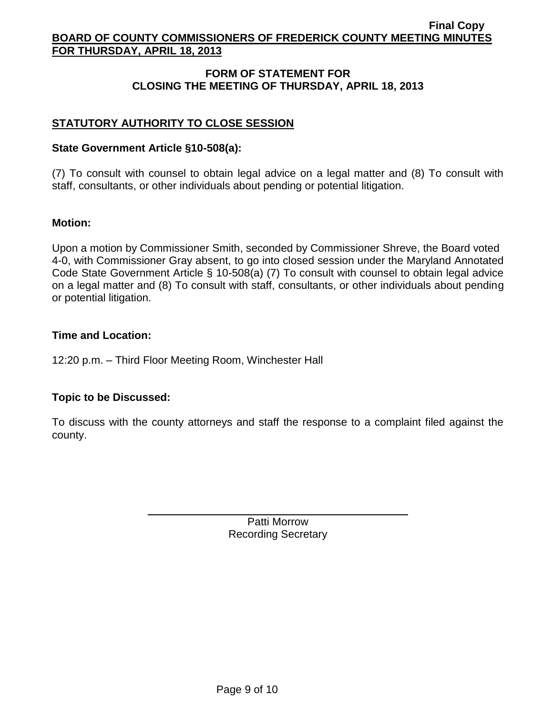# **FORM OF STATEMENT FOR CLOSING THE MEETING OF THURSDAY, APRIL 18, 2013**

# **STATUTORY AUTHORITY TO CLOSE SESSION**

#### **State Government Article §10-508(a):**

(7) To consult with counsel to obtain legal advice on a legal matter and (8) To consult with staff, consultants, or other individuals about pending or potential litigation.

#### **Motion:**

Upon a motion by Commissioner Smith, seconded by Commissioner Shreve, the Board voted 4-0, with Commissioner Gray absent, to go into closed session under the Maryland Annotated Code State Government Article § 10-508(a) (7) To consult with counsel to obtain legal advice on a legal matter and (8) To consult with staff, consultants, or other individuals about pending or potential litigation.

#### **Time and Location:**

12:20 p.m. – Third Floor Meeting Room, Winchester Hall

### **Topic to be Discussed:**

To discuss with the county attorneys and staff the response to a complaint filed against the county.